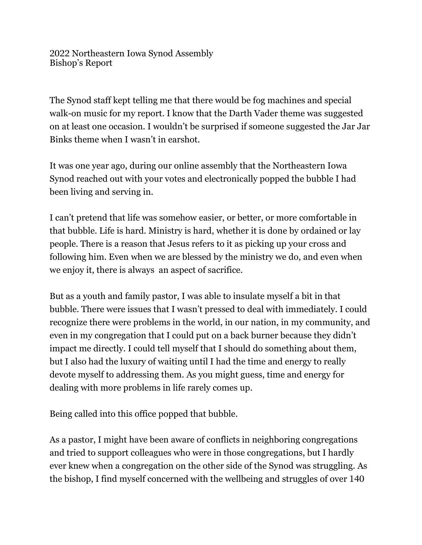2022 Northeastern Iowa Synod Assembly Bishop's Report

The Synod staff kept telling me that there would be fog machines and special walk-on music for my report. I know that the Darth Vader theme was suggested on at least one occasion. I wouldn't be surprised if someone suggested the Jar Jar Binks theme when I wasn't in earshot.

It was one year ago, during our online assembly that the Northeastern Iowa Synod reached out with your votes and electronically popped the bubble I had been living and serving in.

I can't pretend that life was somehow easier, or better, or more comfortable in that bubble. Life is hard. Ministry is hard, whether it is done by ordained or lay people. There is a reason that Jesus refers to it as picking up your cross and following him. Even when we are blessed by the ministry we do, and even when we enjoy it, there is always an aspect of sacrifice.

But as a youth and family pastor, I was able to insulate myself a bit in that bubble. There were issues that I wasn't pressed to deal with immediately. I could recognize there were problems in the world, in our nation, in my community, and even in my congregation that I could put on a back burner because they didn't impact me directly. I could tell myself that I should do something about them, but I also had the luxury of waiting until I had the time and energy to really devote myself to addressing them. As you might guess, time and energy for dealing with more problems in life rarely comes up.

Being called into this office popped that bubble.

As a pastor, I might have been aware of conflicts in neighboring congregations and tried to support colleagues who were in those congregations, but I hardly ever knew when a congregation on the other side of the Synod was struggling. As the bishop, I find myself concerned with the wellbeing and struggles of over 140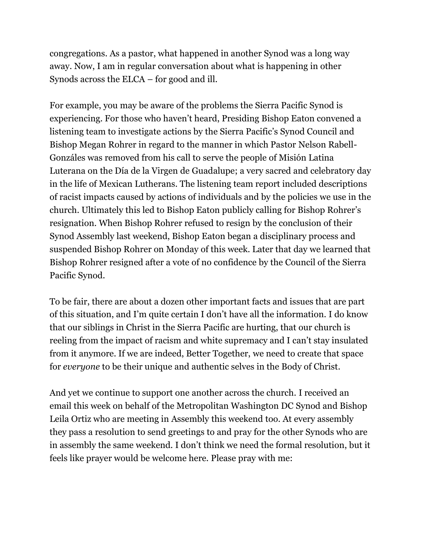congregations. As a pastor, what happened in another Synod was a long way away. Now, I am in regular conversation about what is happening in other Synods across the ELCA – for good and ill.

For example, you may be aware of the problems the Sierra Pacific Synod is experiencing. For those who haven't heard, Presiding Bishop Eaton convened a listening team to investigate actions by the Sierra Pacific's Synod Council and Bishop Megan Rohrer in regard to the manner in which Pastor Nelson Rabell-Gonzáles was removed from his call to serve the people of Misión Latina Luterana on the Día de la Virgen de Guadalupe; a very sacred and celebratory day in the life of Mexican Lutherans. The listening team report included descriptions of racist impacts caused by actions of individuals and by the policies we use in the church. Ultimately this led to Bishop Eaton publicly calling for Bishop Rohrer's resignation. When Bishop Rohrer refused to resign by the conclusion of their Synod Assembly last weekend, Bishop Eaton began a disciplinary process and suspended Bishop Rohrer on Monday of this week. Later that day we learned that Bishop Rohrer resigned after a vote of no confidence by the Council of the Sierra Pacific Synod.

To be fair, there are about a dozen other important facts and issues that are part of this situation, and I'm quite certain I don't have all the information. I do know that our siblings in Christ in the Sierra Pacific are hurting, that our church is reeling from the impact of racism and white supremacy and I can't stay insulated from it anymore. If we are indeed, Better Together, we need to create that space for *everyone* to be their unique and authentic selves in the Body of Christ.

And yet we continue to support one another across the church. I received an email this week on behalf of the Metropolitan Washington DC Synod and Bishop Leila Ortiz who are meeting in Assembly this weekend too. At every assembly they pass a resolution to send greetings to and pray for the other Synods who are in assembly the same weekend. I don't think we need the formal resolution, but it feels like prayer would be welcome here. Please pray with me: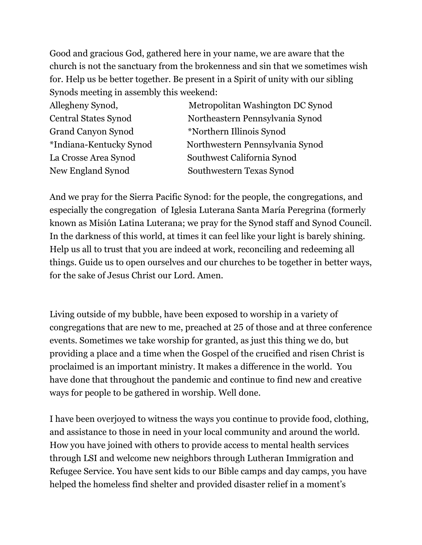Good and gracious God, gathered here in your name, we are aware that the church is not the sanctuary from the brokenness and sin that we sometimes wish for. Help us be better together. Be present in a Spirit of unity with our sibling Synods meeting in assembly this weekend:

Grand Canyon Synod \*Northern Illinois Synod

Allegheny Synod, Metropolitan Washington DC Synod Central States Synod Northeastern Pennsylvania Synod \*Indiana-Kentucky Synod Northwestern Pennsylvania Synod La Crosse Area Synod Southwest California Synod New England Synod Southwestern Texas Synod

And we pray for the Sierra Pacific Synod: for the people, the congregations, and especially the congregation of Iglesia Luterana Santa María Peregrina (formerly known as Misión Latina Luterana; we pray for the Synod staff and Synod Council. In the darkness of this world, at times it can feel like your light is barely shining. Help us all to trust that you are indeed at work, reconciling and redeeming all things. Guide us to open ourselves and our churches to be together in better ways, for the sake of Jesus Christ our Lord. Amen.

Living outside of my bubble, have been exposed to worship in a variety of congregations that are new to me, preached at 25 of those and at three conference events. Sometimes we take worship for granted, as just this thing we do, but providing a place and a time when the Gospel of the crucified and risen Christ is proclaimed is an important ministry. It makes a difference in the world. You have done that throughout the pandemic and continue to find new and creative ways for people to be gathered in worship. Well done.

I have been overjoyed to witness the ways you continue to provide food, clothing, and assistance to those in need in your local community and around the world. How you have joined with others to provide access to mental health services through LSI and welcome new neighbors through Lutheran Immigration and Refugee Service. You have sent kids to our Bible camps and day camps, you have helped the homeless find shelter and provided disaster relief in a moment's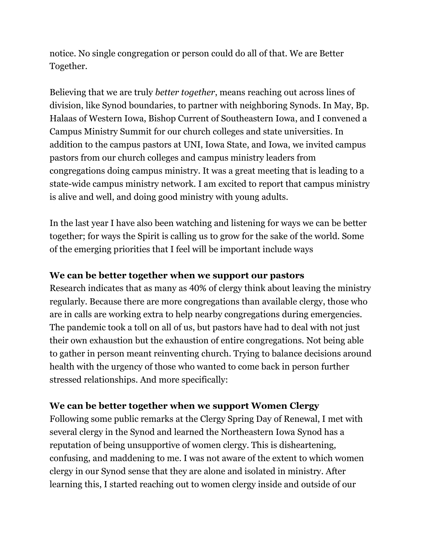notice. No single congregation or person could do all of that. We are Better Together.

Believing that we are truly *better together*, means reaching out across lines of division, like Synod boundaries, to partner with neighboring Synods. In May, Bp. Halaas of Western Iowa, Bishop Current of Southeastern Iowa, and I convened a Campus Ministry Summit for our church colleges and state universities. In addition to the campus pastors at UNI, Iowa State, and Iowa, we invited campus pastors from our church colleges and campus ministry leaders from congregations doing campus ministry. It was a great meeting that is leading to a state-wide campus ministry network. I am excited to report that campus ministry is alive and well, and doing good ministry with young adults.

In the last year I have also been watching and listening for ways we can be better together; for ways the Spirit is calling us to grow for the sake of the world. Some of the emerging priorities that I feel will be important include ways

### **We can be better together when we support our pastors**

Research indicates that as many as 40% of clergy think about leaving the ministry regularly. Because there are more congregations than available clergy, those who are in calls are working extra to help nearby congregations during emergencies. The pandemic took a toll on all of us, but pastors have had to deal with not just their own exhaustion but the exhaustion of entire congregations. Not being able to gather in person meant reinventing church. Trying to balance decisions around health with the urgency of those who wanted to come back in person further stressed relationships. And more specifically:

### **We can be better together when we support Women Clergy**

Following some public remarks at the Clergy Spring Day of Renewal, I met with several clergy in the Synod and learned the Northeastern Iowa Synod has a reputation of being unsupportive of women clergy. This is disheartening, confusing, and maddening to me. I was not aware of the extent to which women clergy in our Synod sense that they are alone and isolated in ministry. After learning this, I started reaching out to women clergy inside and outside of our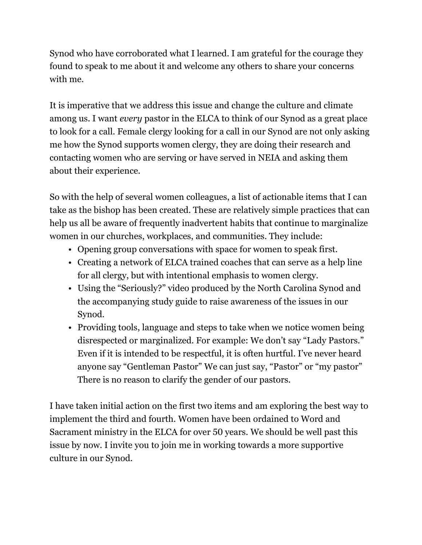Synod who have corroborated what I learned. I am grateful for the courage they found to speak to me about it and welcome any others to share your concerns with me.

It is imperative that we address this issue and change the culture and climate among us. I want *every* pastor in the ELCA to think of our Synod as a great place to look for a call. Female clergy looking for a call in our Synod are not only asking me how the Synod supports women clergy, they are doing their research and contacting women who are serving or have served in NEIA and asking them about their experience.

So with the help of several women colleagues, a list of actionable items that I can take as the bishop has been created. These are relatively simple practices that can help us all be aware of frequently inadvertent habits that continue to marginalize women in our churches, workplaces, and communities. They include:

- Opening group conversations with space for women to speak first.
- Creating a network of ELCA trained coaches that can serve as a help line for all clergy, but with intentional emphasis to women clergy.
- Using the "Seriously?" video produced by the North Carolina Synod and the accompanying study guide to raise awareness of the issues in our Synod.
- Providing tools, language and steps to take when we notice women being disrespected or marginalized. For example: We don't say "Lady Pastors." Even if it is intended to be respectful, it is often hurtful. I've never heard anyone say "Gentleman Pastor" We can just say, "Pastor" or "my pastor" There is no reason to clarify the gender of our pastors.

I have taken initial action on the first two items and am exploring the best way to implement the third and fourth. Women have been ordained to Word and Sacrament ministry in the ELCA for over 50 years. We should be well past this issue by now. I invite you to join me in working towards a more supportive culture in our Synod.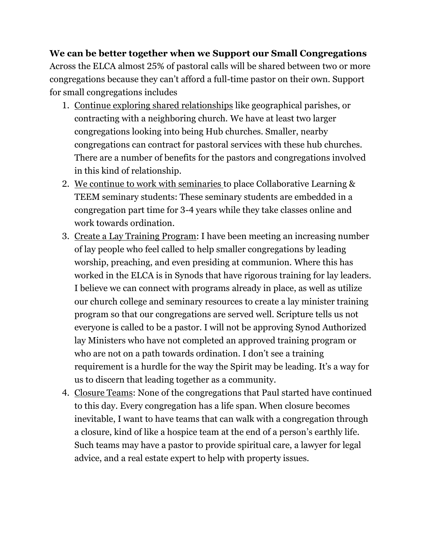## **We can be better together when we Support our Small Congregations**

Across the ELCA almost 25% of pastoral calls will be shared between two or more congregations because they can't afford a full-time pastor on their own. Support for small congregations includes

- 1. Continue exploring shared relationships like geographical parishes, or contracting with a neighboring church. We have at least two larger congregations looking into being Hub churches. Smaller, nearby congregations can contract for pastoral services with these hub churches. There are a number of benefits for the pastors and congregations involved in this kind of relationship.
- 2. We continue to work with seminaries to place Collaborative Learning & TEEM seminary students: These seminary students are embedded in a congregation part time for 3-4 years while they take classes online and work towards ordination.
- 3. Create a Lay Training Program: I have been meeting an increasing number of lay people who feel called to help smaller congregations by leading worship, preaching, and even presiding at communion. Where this has worked in the ELCA is in Synods that have rigorous training for lay leaders. I believe we can connect with programs already in place, as well as utilize our church college and seminary resources to create a lay minister training program so that our congregations are served well. Scripture tells us not everyone is called to be a pastor. I will not be approving Synod Authorized lay Ministers who have not completed an approved training program or who are not on a path towards ordination. I don't see a training requirement is a hurdle for the way the Spirit may be leading. It's a way for us to discern that leading together as a community.
- 4. Closure Teams: None of the congregations that Paul started have continued to this day. Every congregation has a life span. When closure becomes inevitable, I want to have teams that can walk with a congregation through a closure, kind of like a hospice team at the end of a person's earthly life. Such teams may have a pastor to provide spiritual care, a lawyer for legal advice, and a real estate expert to help with property issues.